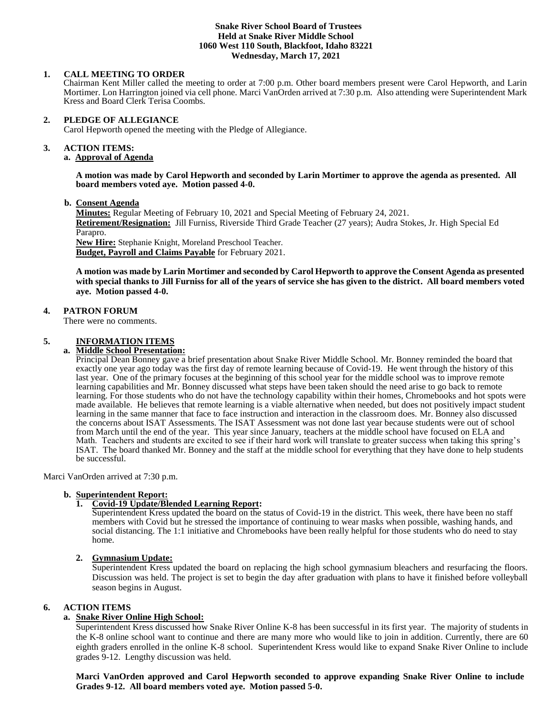## **Snake River School Board of Trustees Held at Snake River Middle School 1060 West 110 South, Blackfoot, Idaho 83221 Wednesday, March 17, 2021**

## **1. CALL MEETING TO ORDER**

Chairman Kent Miller called the meeting to order at 7:00 p.m. Other board members present were Carol Hepworth, and Larin Mortimer. Lon Harrington joined via cell phone. Marci VanOrden arrived at 7:30 p.m. Also attending were Superintendent Mark Kress and Board Clerk Terisa Coombs.

#### **2. PLEDGE OF ALLEGIANCE**

Carol Hepworth opened the meeting with the Pledge of Allegiance.

#### 3. **3. ACTION ITEMS:**

## **a. Approval of Agenda**

**A motion was made by Carol Hepworth and seconded by Larin Mortimer to approve the agenda as presented. All board members voted aye. Motion passed 4-0.**

 **b. Consent Agenda**

**Minutes:** Regular Meeting of February 10, 2021 and Special Meeting of February 24, 2021. **Retirement/Resignation:** Jill Furniss, Riverside Third Grade Teacher (27 years); Audra Stokes, Jr. High Special Ed Parapro. **New Hire:** Stephanie Knight, Moreland Preschool Teacher.

**Budget, Payroll and Claims Payable** for February 2021.

**A motion was made by Larin Mortimer and seconded by Carol Hepworth to approve the Consent Agenda as presented with special thanks to Jill Furniss for all of the years of service she has given to the district. All board members voted aye. Motion passed 4-0.**

### **4. PATRON FORUM**

There were no comments.

#### **5. INFORMATION ITEMS**

#### **a. Middle School Presentation:**

Principal Dean Bonney gave a brief presentation about Snake River Middle School. Mr. Bonney reminded the board that exactly one year ago today was the first day of remote learning because of Covid-19. He went through the history of this last year. One of the primary focuses at the beginning of this school year for the middle school was to improve remote learning capabilities and Mr. Bonney discussed what steps have been taken should the need arise to go back to remote learning. For those students who do not have the technology capability within their homes, Chromebooks and hot spots were made available. He believes that remote learning is a viable alternative when needed, but does not positively impact student learning in the same manner that face to face instruction and interaction in the classroom does. Mr. Bonney also discussed the concerns about ISAT Assessments. The ISAT Assessment was not done last year because students were out of school from March until the end of the year. This year since January, teachers at the middle school have focused on ELA and Math. Teachers and students are excited to see if their hard work will translate to greater success when taking this spring's ISAT. The board thanked Mr. Bonney and the staff at the middle school for everything that they have done to help students be successful.

Marci VanOrden arrived at 7:30 p.m.

### **b. Superintendent Report:**

## **1. Covid-19 Update/Blended Learning Report:**

Superintendent Kress updated the board on the status of Covid-19 in the district. This week, there have been no staff members with Covid but he stressed the importance of continuing to wear masks when possible, washing hands, and social distancing. The 1:1 initiative and Chromebooks have been really helpful for those students who do need to stay home.

### **2. Gymnasium Update:**

Superintendent Kress updated the board on replacing the high school gymnasium bleachers and resurfacing the floors. Discussion was held. The project is set to begin the day after graduation with plans to have it finished before volleyball season begins in August.

### **6. ACTION ITEMS**

## **a. Snake River Online High School:**

Superintendent Kress discussed how Snake River Online K-8 has been successful in its first year. The majority of students in the K-8 online school want to continue and there are many more who would like to join in addition. Currently, there are 60 eighth graders enrolled in the online K-8 school. Superintendent Kress would like to expand Snake River Online to include grades 9-12. Lengthy discussion was held.

**Marci VanOrden approved and Carol Hepworth seconded to approve expanding Snake River Online to include Grades 9-12. All board members voted aye. Motion passed 5-0.**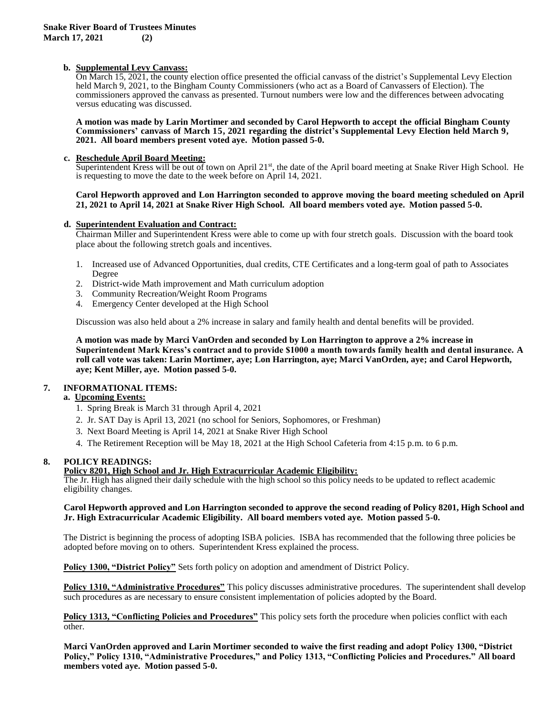## **b. Supplemental Levy Canvass:**

On March 15, 2021, the county election office presented the official canvass of the district's Supplemental Levy Election held March 9, 2021, to the Bingham County Commissioners (who act as a Board of Canvassers of Election). The commissioners approved the canvass as presented. Turnout numbers were low and the differences between advocating versus educating was discussed.

#### **A motion was made by Larin Mortimer and seconded by Carol Hepworth to accept the official Bingham County Commissioners' canvass of March 15, 2021 regarding the district's Supplemental Levy Election held March 9, 2021. All board members present voted aye. Motion passed 5-0.**

## **c. Reschedule April Board Meeting:**

Superintendent Kress will be out of town on April  $21<sup>st</sup>$ , the date of the April board meeting at Snake River High School. He is requesting to move the date to the week before on April 14, 2021.

### **Carol Hepworth approved and Lon Harrington seconded to approve moving the board meeting scheduled on April 21, 2021 to April 14, 2021 at Snake River High School. All board members voted aye. Motion passed 5-0.**

### **d. Superintendent Evaluation and Contract:**

Chairman Miller and Superintendent Kress were able to come up with four stretch goals. Discussion with the board took place about the following stretch goals and incentives.

- 1. Increased use of Advanced Opportunities, dual credits, CTE Certificates and a long-term goal of path to Associates Degree
- 2. District-wide Math improvement and Math curriculum adoption
- 3. Community Recreation/Weight Room Programs
- 4. Emergency Center developed at the High School

Discussion was also held about a 2% increase in salary and family health and dental benefits will be provided.

**A motion was made by Marci VanOrden and seconded by Lon Harrington to approve a 2% increase in Superintendent Mark Kress's contract and to provide \$1000 a month towards family health and dental insurance. A roll call vote was taken: Larin Mortimer, aye; Lon Harrington, aye; Marci VanOrden, aye; and Carol Hepworth, aye; Kent Miller, aye. Motion passed 5-0.** 

## **7. INFORMATIONAL ITEMS:**

## **a. Upcoming Events:**

- 1. Spring Break is March 31 through April 4, 2021
- 2. Jr. SAT Day is April 13, 2021 (no school for Seniors, Sophomores, or Freshman)
- 3. Next Board Meeting is April 14, 2021 at Snake River High School
- 4. The Retirement Reception will be May 18, 2021 at the High School Cafeteria from 4:15 p.m. to 6 p.m.

## **8. POLICY READINGS:**

**Policy 8201, High School and Jr. High Extracurricular Academic Eligibility:**

The Jr. High has aligned their daily schedule with the high school so this policy needs to be updated to reflect academic eligibility changes.

## **Carol Hepworth approved and Lon Harrington seconded to approve the second reading of Policy 8201, High School and Jr. High Extracurricular Academic Eligibility. All board members voted aye. Motion passed 5-0.**

The District is beginning the process of adopting ISBA policies. ISBA has recommended that the following three policies be adopted before moving on to others. Superintendent Kress explained the process.

**Policy 1300, "District Policy"** Sets forth policy on adoption and amendment of District Policy.

**Policy 1310, "Administrative Procedures"** This policy discusses administrative procedures. The superintendent shall develop such procedures as are necessary to ensure consistent implementation of policies adopted by the Board.

**Policy 1313, "Conflicting Policies and Procedures"** This policy sets forth the procedure when policies conflict with each other.

**Marci VanOrden approved and Larin Mortimer seconded to waive the first reading and adopt Policy 1300, "District Policy," Policy 1310, "Administrative Procedures," and Policy 1313, "Conflicting Policies and Procedures." All board members voted aye. Motion passed 5-0.**